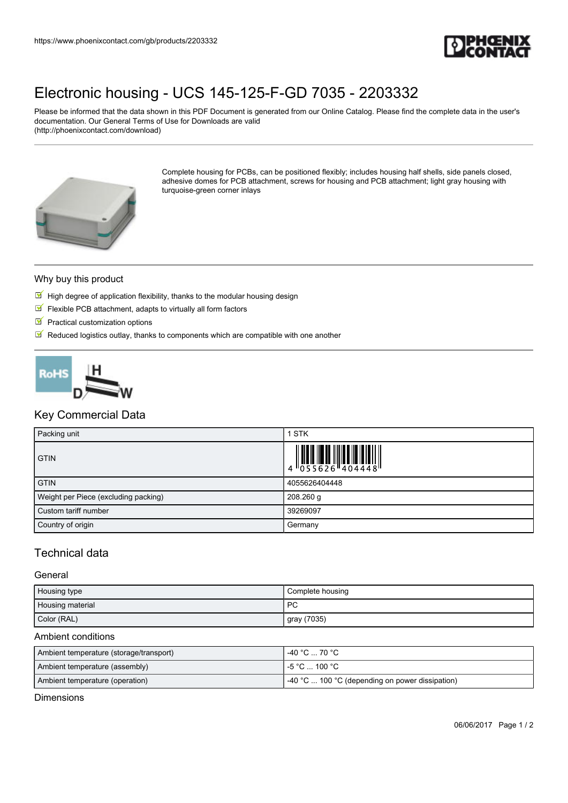

# [Electronic housing - UCS 145-125-F-GD 7035 - 2203332](https://www.phoenixcontact.com/gb/products/2203332)

Please be informed that the data shown in this PDF Document is generated from our Online Catalog. Please find the complete data in the user's documentation. Our General Terms of Use for Downloads are valid (http://phoenixcontact.com/download)



Complete housing for PCBs, can be positioned flexibly; includes housing half shells, side panels closed, adhesive domes for PCB attachment, screws for housing and PCB attachment; light gray housing with turquoise-green corner inlays

#### Why buy this product

- $\mathbb F$  High degree of application flexibility, thanks to the modular housing design
- $\blacksquare$  Flexible PCB attachment, adapts to virtually all form factors
- $\blacksquare$  Practical customization options
- $\mathbb N$  Reduced logistics outlay, thanks to components which are compatible with one another



## Key Commercial Data

| Packing unit                         | 1 STK                                                                                                                                                                                                                                                                                                                                                                                                                                                                                                                                                                                     |
|--------------------------------------|-------------------------------------------------------------------------------------------------------------------------------------------------------------------------------------------------------------------------------------------------------------------------------------------------------------------------------------------------------------------------------------------------------------------------------------------------------------------------------------------------------------------------------------------------------------------------------------------|
| <b>GTIN</b>                          | $\begin{array}{c} \begin{array}{c} \begin{array}{c} \end{array}\\ \begin{array}{c} \end{array}\\ \begin{array}{c} \end{array}\\ \begin{array}{c} \end{array}\\ \begin{array}{c} \end{array}\\ \begin{array}{c} \end{array}\\ \begin{array}{c} \end{array}\\ \begin{array}{c} \end{array}\\ \begin{array}{c} \end{array}\\ \begin{array}{c} \end{array}\\ \begin{array}{c} \end{array}\\ \begin{array}{c} \end{array}\\ \begin{array}{c} \end{array}\\ \begin{array}{c} \end{array}\\ \begin{array}{c} \end{array}\\ \begin{array}{c} \end{array}\\ \begin{array}{c} \end{array}\\ \begin$ |
| <b>GTIN</b>                          | 4055626404448                                                                                                                                                                                                                                                                                                                                                                                                                                                                                                                                                                             |
| Weight per Piece (excluding packing) | 208.260 g                                                                                                                                                                                                                                                                                                                                                                                                                                                                                                                                                                                 |
| Custom tariff number                 | 39269097                                                                                                                                                                                                                                                                                                                                                                                                                                                                                                                                                                                  |
| Country of origin                    | Germany                                                                                                                                                                                                                                                                                                                                                                                                                                                                                                                                                                                   |

## Technical data

#### **General**

| Housing type     | Complete housing |
|------------------|------------------|
| Housing material | <b>PC</b>        |
| Color (RAL)      | gray (7035)      |

#### Ambient conditions

| Ambient temperature (storage/transport) | ∣ -40 °C … 70 °C .                                      |
|-----------------------------------------|---------------------------------------------------------|
| Ambient temperature (assembly)          | l -5 °C  100 °C .                                       |
| Ambient temperature (operation)         | $\vert$ -40 °C  100 °C (depending on power dissipation) |

**Dimensions**